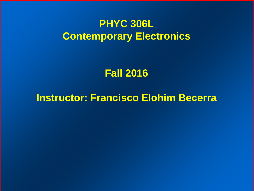## **PHYC 306L Contemporary Electronics**

## **Fall 2016**

## **Instructor: Francisco Elohim Becerra**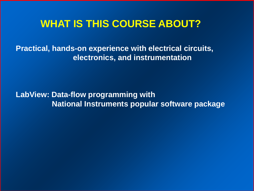## **WHAT IS THIS COURSE ABOUT?**

**Practical, hands-on experience with electrical circuits, electronics, and instrumentation**

**LabView: Data-flow programming with National Instruments popular software package**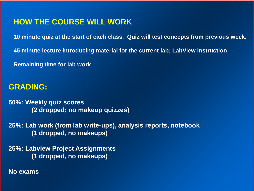#### **HOW THE COURSE WILL WORK**

**10 minute quiz at the start of each class. Quiz will test concepts from previous week.**

**45 minute lecture introducing material for the current lab; LabView instruction**

**Remaining time for lab work**

#### **GRADING:**

**50%: Weekly quiz scores (2 dropped; no makeup quizzes)**

**25%: Lab work (from lab write-ups), analysis reports, notebook (1 dropped, no makeups)**

**25%: Labview Project Assignments (1 dropped, no makeups)** 

**No exams**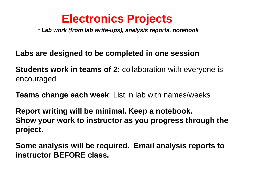## **Electronics Projects**

*\* Lab work (from lab write-ups), analysis reports, notebook*

**Labs are designed to be completed in one session**

**Students work in teams of 2:** collaboration with everyone is encouraged

**Teams change each week**: List in lab with names/weeks

**Report writing will be minimal. Keep a notebook. Show your work to instructor as you progress through the project.**

**Some analysis will be required. Email analysis reports to instructor BEFORE class.**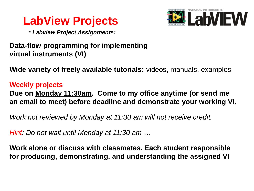



*\* Labview Project Assignments:* 

### **Data-flow programming for implementing virtual instruments (VI)**

**Wide variety of freely available tutorials:** videos, manuals, examples

#### **Weekly projects Due on Monday 11:30am. Come to my office anytime (or send me an email to meet) before deadline and demonstrate your working VI.**

*Work not reviewed by Monday at 11:30 am will not receive credit.*

*Hint: Do not wait until Monday at 11:30 am …*

**Work alone or discuss with classmates. Each student responsible for producing, demonstrating, and understanding the assigned VI**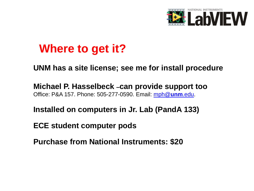

## **Where to get it?**

#### **UNM has a site license; see me for install procedure**

**Michael P. Hasselbeck –can provide support too** Office: P&A 157. Phone: 505-277-0590. Email: [mph@](mailto:mph@unm.edu)**[unm](mailto:mph@unm.edu)**[.edu](mailto:mph@unm.edu).

**Installed on computers in Jr. Lab (PandA 133)**

**ECE student computer pods**

**Purchase from National Instruments: \$20**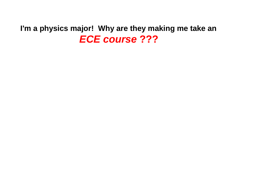### **I'm a physics major! Why are they making me take an**  *ECE course* **???**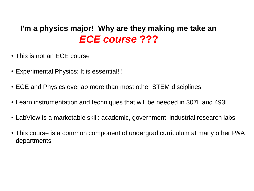### **I'm a physics major! Why are they making me take an**  *ECE course* **???**

- This is not an ECE course
- Experimental Physics: It is essential!!!
- ECE and Physics overlap more than most other STEM disciplines
- Learn instrumentation and techniques that will be needed in 307L and 493L
- LabView is a marketable skill: academic, government, industrial research labs
- This course is a common component of undergrad curriculum at many other P&A departments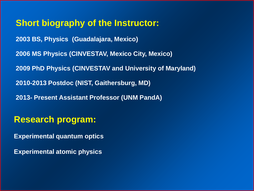**Short biography of the Instructor: 2003 BS, Physics (Guadalajara, Mexico) 2006 MS Physics (CINVESTAV, Mexico City, Mexico) 2009 PhD Physics (CINVESTAV and University of Maryland) 2010-2013 Postdoc (NIST, Gaithersburg, MD) 2013- Present Assistant Professor (UNM PandA)**

### **Research program:**

**Experimental quantum optics**

**Experimental atomic physics**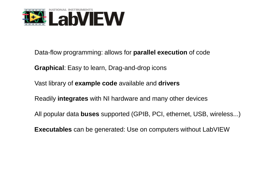

Data-flow programming: allows for **parallel execution** of code

**Graphical**: Easy to learn, Drag-and-drop icons

Vast library of **example code** available and **drivers**

Readily **integrates** with NI hardware and many other devices

All popular data **buses** supported (GPIB, PCI, ethernet, USB, wireless...)

**Executables** can be generated: Use on computers without LabVIEW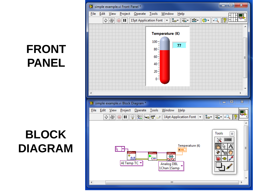# **FRONT PANEL**

# **BLOCK DIAGRAM**

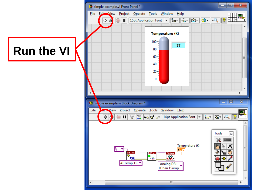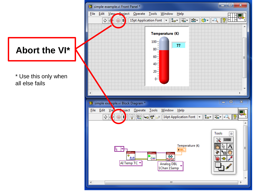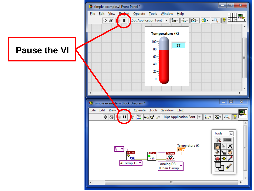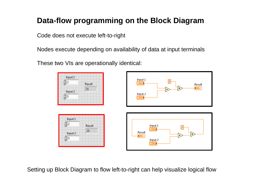### **Data-flow programming on the Block Diagram**

Code does not execute left-to-right

Nodes execute depending on availability of data at input terminals

These two VIs are operationally identical:



Setting up Block Diagram to flow left-to-right can help visualize logical flow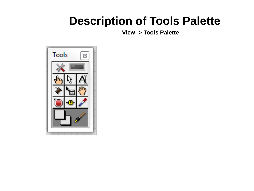**View -> Tools Palette**

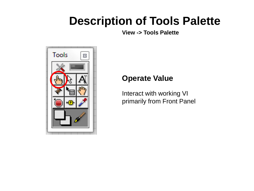**View -> Tools Palette**



#### **Operate Value**

Interact with working VI primarily from Front Panel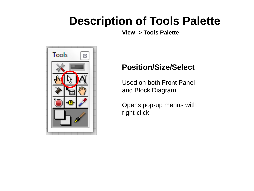**View -> Tools Palette**



### **Position/Size/Select**

Used on both Front Panel and Block Diagram

Opens pop-up menus with right-click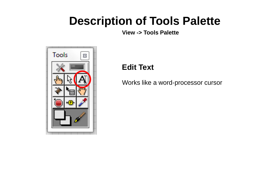**View -> Tools Palette**



### **Edit Text**

Works like a word-processor cursor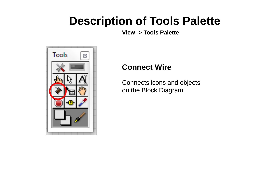**View -> Tools Palette**



### **Connect Wire**

Connects icons and objects on the Block Diagram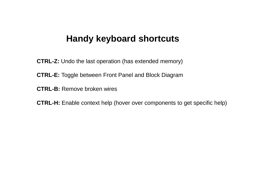### **Handy keyboard shortcuts**

**CTRL-Z:** Undo the last operation (has extended memory)

**CTRL-E:** Toggle between Front Panel and Block Diagram

**CTRL-B:** Remove broken wires

**CTRL-H:** Enable context help (hover over components to get specific help)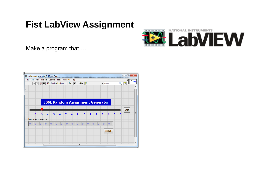### **Fist LabView Assignment**



Make a program that.....

| File           | 12 assignment_generator_2.vi Front Panel |                        |                |                   |                | Edit View Project Operate Tools Window |                                |                         | Help           |                                         |                |                |    |                |    |              |                    |    | $\Box$<br>$\Box$ | $\mathbf{x}$ |          |
|----------------|------------------------------------------|------------------------|----------------|-------------------|----------------|----------------------------------------|--------------------------------|-------------------------|----------------|-----------------------------------------|----------------|----------------|----|----------------|----|--------------|--------------------|----|------------------|--------------|----------|
|                | ☆⊗                                       | $\left( \quad \right)$ | $\mathbf{u}$   |                   |                |                                        |                                |                         |                |                                         |                |                |    |                |    | I Search     |                    |    | ್ಶಿ              |              | ???      |
|                |                                          |                        |                |                   |                |                                        |                                |                         |                |                                         |                |                |    |                |    |              |                    |    |                  |              |          |
|                |                                          |                        |                |                   |                |                                        |                                |                         |                |                                         |                |                |    |                |    |              |                    |    |                  |              |          |
|                |                                          |                        |                |                   |                |                                        |                                |                         |                |                                         |                |                |    |                |    |              |                    |    |                  |              |          |
|                |                                          |                        |                |                   |                |                                        |                                |                         |                | <b>306L Random Assignment Generator</b> |                |                |    |                |    |              |                    |    |                  |              |          |
|                |                                          |                        |                |                   |                |                                        |                                |                         |                |                                         |                |                |    |                |    |              |                    |    |                  |              |          |
|                |                                          |                        |                |                   |                |                                        |                                |                         |                |                                         |                |                |    |                |    |              |                    |    |                  |              |          |
|                |                                          |                        |                |                   |                |                                        |                                |                         |                |                                         |                |                |    |                |    |              |                    |    | OK               |              |          |
|                | $\frac{1}{2}$                            | 3                      | $\overline{A}$ | $\mathbf{I}$<br>5 |                | $6 \overline{6}$                       | $\mathbf{I}$<br>$\overline{7}$ | $\overline{\mathbf{8}}$ | $\overline{9}$ | 10                                      | 11             |                | 12 |                | 13 | 14           | $\mathbf{L}$<br>15 | 16 |                  |              | $\equiv$ |
|                | Numbers selected                         |                        |                |                   |                |                                        |                                |                         |                |                                         |                |                |    |                |    |              |                    |    |                  |              |          |
| $\overline{0}$ | 0                                        |                        | $\overline{0}$ | $ 0\rangle$       | $\overline{0}$ | 10                                     | llo                            | 10                      | lo.            | $ 0\rangle$                             | $\overline{0}$ | $\overline{0}$ |    | $\overline{0}$ | l0 | ۱o           |                    |    |                  |              |          |
|                |                                          |                        |                |                   |                |                                        |                                |                         |                |                                         |                |                |    |                |    |              |                    |    |                  |              |          |
|                |                                          |                        |                |                   |                |                                        |                                |                         |                |                                         |                |                |    |                |    | <b>DONE!</b> |                    |    |                  |              |          |
|                |                                          |                        |                |                   |                |                                        |                                |                         |                |                                         |                |                |    |                |    |              |                    |    |                  |              |          |
|                |                                          |                        |                |                   |                |                                        |                                |                         |                |                                         |                |                |    |                |    |              |                    |    |                  |              |          |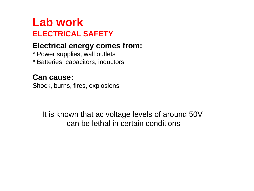## **Lab work ELECTRICAL SAFETY**

### **Electrical energy comes from:**

- \* Power supplies, wall outlets
- \* Batteries, capacitors, inductors

### **Can cause:**

Shock, burns, fires, explosions

It is known that ac voltage levels of around 50V can be lethal in certain conditions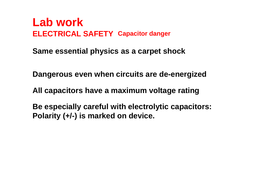## **ELECTRICAL SAFETY Capacitor danger Lab work**

**Same essential physics as a carpet shock**

**Dangerous even when circuits are de-energized**

**All capacitors have a maximum voltage rating**

**Be especially careful with electrolytic capacitors: Polarity (+/-) is marked on device.**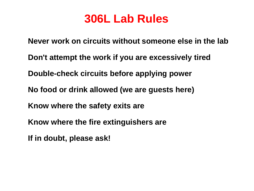## **306L Lab Rules**

**Never work on circuits without someone else in the lab Don't attempt the work if you are excessively tired Double-check circuits before applying power No food or drink allowed (we are guests here) Know where the safety exits are Know where the fire extinguishers are If in doubt, please ask!**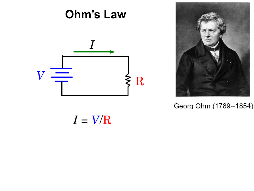

Georg Ohm (1789--1854)

 $I = V/R$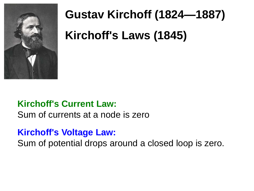

# **Gustav Kirchoff (1824—1887) Kirchoff's Laws (1845)**

### **Kirchoff's Current Law:**

Sum of currents at a node is zero

### **Kirchoff's Voltage Law:**

Sum of potential drops around a closed loop is zero.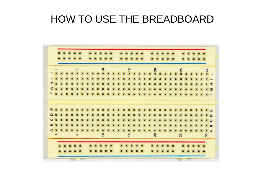|                        | $\overline{}$            |  | 52       |  |  | 10 |  |  | 15 |  |  | 20   |  |  | 25 |  |  | $\mathbf{a}$               |              |
|------------------------|--------------------------|--|----------|--|--|----|--|--|----|--|--|------|--|--|----|--|--|----------------------------|--------------|
|                        |                          |  |          |  |  |    |  |  | ×  |  |  |      |  |  |    |  |  | $F -$                      |              |
|                        |                          |  |          |  |  |    |  |  |    |  |  |      |  |  |    |  |  |                            |              |
| I                      |                          |  |          |  |  |    |  |  |    |  |  |      |  |  |    |  |  |                            | $\mathbf{r}$ |
| $\circ$                | $\overline{M}$           |  |          |  |  |    |  |  |    |  |  |      |  |  |    |  |  | $\blacksquare$             | $\circ$      |
| $\mu$                  |                          |  |          |  |  |    |  |  |    |  |  |      |  |  |    |  |  |                            | $\mathbf{u}$ |
|                        |                          |  |          |  |  |    |  |  |    |  |  |      |  |  |    |  |  |                            |              |
|                        |                          |  |          |  |  |    |  |  |    |  |  |      |  |  |    |  |  |                            |              |
| ш                      |                          |  |          |  |  |    |  |  |    |  |  |      |  |  |    |  |  | ■ 山                        |              |
| $\Box$                 |                          |  |          |  |  |    |  |  |    |  |  |      |  |  |    |  |  | $\sqrt{2}$                 |              |
| $\mathbf{\mathcal{Q}}$ |                          |  |          |  |  |    |  |  |    |  |  |      |  |  |    |  |  | $\sqrt{1}$                 |              |
| $\omega$               |                          |  |          |  |  |    |  |  |    |  |  |      |  |  |    |  |  |                            |              |
| $\blacktriangleleft$   |                          |  |          |  |  |    |  |  |    |  |  |      |  |  |    |  |  | 工经                         |              |
|                        | $\overline{\phantom{a}}$ |  | $\omega$ |  |  | 10 |  |  | 15 |  |  | $20$ |  |  | 25 |  |  | $f \neq$<br>$\mathfrak{A}$ |              |
|                        |                          |  |          |  |  |    |  |  |    |  |  |      |  |  |    |  |  |                            |              |
|                        |                          |  |          |  |  |    |  |  |    |  |  |      |  |  |    |  |  |                            |              |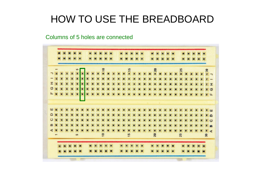#### Columns of 5 holes are connected

|                      |   |  | S                       |   |          |  | 10 |  |  | 15 |  |  | 20   |  |  | 25 |  |  | $\mathbf{S}$     |              |
|----------------------|---|--|-------------------------|---|----------|--|----|--|--|----|--|--|------|--|--|----|--|--|------------------|--------------|
| っ                    |   |  | u                       | × |          |  |    |  |  |    |  |  |      |  |  |    |  |  | $F \rightarrow$  |              |
| -                    |   |  | $\overline{\mathbf{z}}$ | × |          |  |    |  |  |    |  |  |      |  |  |    |  |  |                  |              |
| $\mathfrak{X}$       |   |  | $\blacksquare$          | × |          |  |    |  |  |    |  |  |      |  |  |    |  |  |                  | $\mathbf{r}$ |
| $\circ$              | E |  | $\blacksquare$          | × |          |  |    |  |  |    |  |  |      |  |  |    |  |  | $\mathbf{z}$ (5) |              |
| $\mathfrak{u}$       | П |  | <b>MMW</b>              |   | <b>T</b> |  |    |  |  |    |  |  |      |  |  |    |  |  |                  | $\mathbf{u}$ |
|                      |   |  |                         |   |          |  |    |  |  |    |  |  |      |  |  |    |  |  |                  |              |
|                      |   |  |                         |   |          |  |    |  |  |    |  |  |      |  |  |    |  |  |                  |              |
|                      |   |  |                         |   |          |  |    |  |  |    |  |  |      |  |  |    |  |  |                  |              |
| ш                    |   |  |                         |   |          |  |    |  |  |    |  |  |      |  |  |    |  |  | 耳山               |              |
| $\Omega$             |   |  |                         |   |          |  |    |  |  |    |  |  |      |  |  |    |  |  | $\sqrt{2}$       |              |
| $\circ$              |   |  |                         |   |          |  |    |  |  |    |  |  |      |  |  |    |  |  | $\sqrt{1}$       |              |
| $\omega$             |   |  |                         |   |          |  |    |  |  |    |  |  |      |  |  |    |  |  | 工能               |              |
| $\blacktriangleleft$ |   |  |                         |   |          |  |    |  |  |    |  |  |      |  |  |    |  |  | $r$ d            |              |
|                      |   |  | in.                     |   |          |  | 10 |  |  | 15 |  |  | $20$ |  |  | 25 |  |  | $\mathfrak{A}$   |              |
|                      |   |  |                         |   |          |  |    |  |  |    |  |  |      |  |  |    |  |  |                  |              |
|                      |   |  |                         |   |          |  |    |  |  |    |  |  |      |  |  |    |  |  |                  |              |
|                      |   |  |                         |   |          |  |    |  |  |    |  |  |      |  |  |    |  |  |                  |              |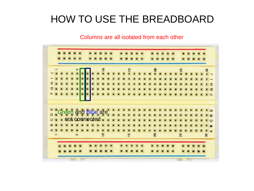#### Columns are all isolated from each other

| 20<br>15<br>25<br>$\frac{1}{2}$<br>30<br>西<br>I<br>習<br>O<br>×<br>11<br>$\mathbf{H}$<br>ш<br>Green and Blue are<br>$Q$ x<br><b>Ex not connected *</b><br>$\circ$<br>m<br>∢<br>15<br>10<br>20<br>25<br><b>un</b><br>$\mathbf{a}$ |  |  |  |  |  |  |  |  |  |  |  |  |  |  |  |  |
|---------------------------------------------------------------------------------------------------------------------------------------------------------------------------------------------------------------------------------|--|--|--|--|--|--|--|--|--|--|--|--|--|--|--|--|
|                                                                                                                                                                                                                                 |  |  |  |  |  |  |  |  |  |  |  |  |  |  |  |  |
|                                                                                                                                                                                                                                 |  |  |  |  |  |  |  |  |  |  |  |  |  |  |  |  |
|                                                                                                                                                                                                                                 |  |  |  |  |  |  |  |  |  |  |  |  |  |  |  |  |
|                                                                                                                                                                                                                                 |  |  |  |  |  |  |  |  |  |  |  |  |  |  |  |  |
|                                                                                                                                                                                                                                 |  |  |  |  |  |  |  |  |  |  |  |  |  |  |  |  |
|                                                                                                                                                                                                                                 |  |  |  |  |  |  |  |  |  |  |  |  |  |  |  |  |
|                                                                                                                                                                                                                                 |  |  |  |  |  |  |  |  |  |  |  |  |  |  |  |  |
|                                                                                                                                                                                                                                 |  |  |  |  |  |  |  |  |  |  |  |  |  |  |  |  |
|                                                                                                                                                                                                                                 |  |  |  |  |  |  |  |  |  |  |  |  |  |  |  |  |
|                                                                                                                                                                                                                                 |  |  |  |  |  |  |  |  |  |  |  |  |  |  |  |  |
|                                                                                                                                                                                                                                 |  |  |  |  |  |  |  |  |  |  |  |  |  |  |  |  |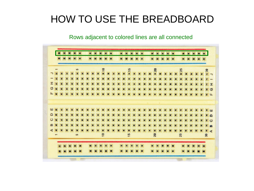#### Rows adjacent to colored lines are all connected

|                      |                          |  | $\sqrt{2}$ |  |  | $\overline{\phantom{0}}$ |  |  | 15 |  |  | 20 |  |  | 25 |  |  | $\mathbf{S}$     |                          |
|----------------------|--------------------------|--|------------|--|--|--------------------------|--|--|----|--|--|----|--|--|----|--|--|------------------|--------------------------|
|                      |                          |  |            |  |  |                          |  |  |    |  |  |    |  |  |    |  |  |                  | $\overline{\phantom{0}}$ |
| ÷                    |                          |  |            |  |  |                          |  |  |    |  |  |    |  |  |    |  |  |                  |                          |
| $\mathfrak{X}$       |                          |  |            |  |  |                          |  |  |    |  |  |    |  |  |    |  |  |                  | I                        |
| $\circ$              |                          |  |            |  |  |                          |  |  |    |  |  |    |  |  |    |  |  | $\mathbf{z}$ (5) |                          |
| $\mathbf{L}$         |                          |  |            |  |  |                          |  |  |    |  |  |    |  |  |    |  |  |                  | $\mathbf{u}$             |
|                      |                          |  |            |  |  |                          |  |  |    |  |  |    |  |  |    |  |  |                  |                          |
|                      |                          |  |            |  |  |                          |  |  |    |  |  |    |  |  |    |  |  |                  |                          |
| ш                    |                          |  |            |  |  |                          |  |  |    |  |  |    |  |  |    |  |  |                  |                          |
|                      |                          |  |            |  |  |                          |  |  |    |  |  |    |  |  |    |  |  | л                | <b>LLF</b>               |
| $\Omega$             |                          |  |            |  |  |                          |  |  |    |  |  |    |  |  |    |  |  | $\sqrt{2}$       |                          |
| $\circ$              |                          |  |            |  |  |                          |  |  |    |  |  |    |  |  |    |  |  | $\sqrt{1}$       |                          |
| $\omega$             |                          |  |            |  |  |                          |  |  |    |  |  |    |  |  |    |  |  | 工能               |                          |
| $\blacktriangleleft$ |                          |  |            |  |  |                          |  |  |    |  |  |    |  |  |    |  |  | $\mathbf{r}$ d   |                          |
|                      | $\overline{\phantom{0}}$ |  | in.        |  |  | 10                       |  |  | 15 |  |  | 20 |  |  | 25 |  |  | $30^{\circ}$     |                          |
|                      |                          |  |            |  |  |                          |  |  |    |  |  |    |  |  |    |  |  |                  |                          |
|                      |                          |  |            |  |  |                          |  |  |    |  |  |    |  |  |    |  |  |                  |                          |